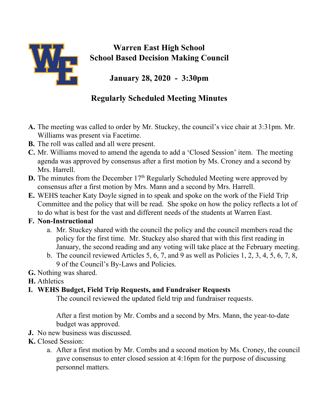

## **Warren East High School School Based Decision Making Council**

**January 28, 2020 - 3:30pm**

## **Regularly Scheduled Meeting Minutes**

- **A.** The meeting was called to order by Mr. Stuckey, the council's vice chair at 3:31pm. Mr. Williams was present via Facetime.
- **B.** The roll was called and all were present.
- **C.** Mr. Williams moved to amend the agenda to add a 'Closed Session' item. The meeting agenda was approved by consensus after a first motion by Ms. Croney and a second by Mrs. Harrell.
- **D.** The minutes from the December 17<sup>th</sup> Regularly Scheduled Meeting were approved by consensus after a first motion by Mrs. Mann and a second by Mrs. Harrell.
- **E.** WEHS teacher Katy Doyle signed in to speak and spoke on the work of the Field Trip Committee and the policy that will be read. She spoke on how the policy reflects a lot of to do what is best for the vast and different needs of the students at Warren East.

## **F. Non-Instructional**

- a. Mr. Stuckey shared with the council the policy and the council members read the policy for the first time. Mr. Stuckey also shared that with this first reading in January, the second reading and any voting will take place at the February meeting.
- b. The council reviewed Articles 5, 6, 7, and 9 as well as Policies 1, 2, 3, 4, 5, 6, 7, 8, 9 of the Council's By-Laws and Policies.
- **G.** Nothing was shared.
- **H.** Athletics

## **I. WEHS Budget, Field Trip Requests, and Fundraiser Requests**

The council reviewed the updated field trip and fundraiser requests.

After a first motion by Mr. Combs and a second by Mrs. Mann, the year-to-date budget was approved.

- **J.** No new business was discussed.
- **K.** Closed Session:
	- a. After a first motion by Mr. Combs and a second motion by Ms. Croney, the council gave consensus to enter closed session at 4:16pm for the purpose of discussing personnel matters.